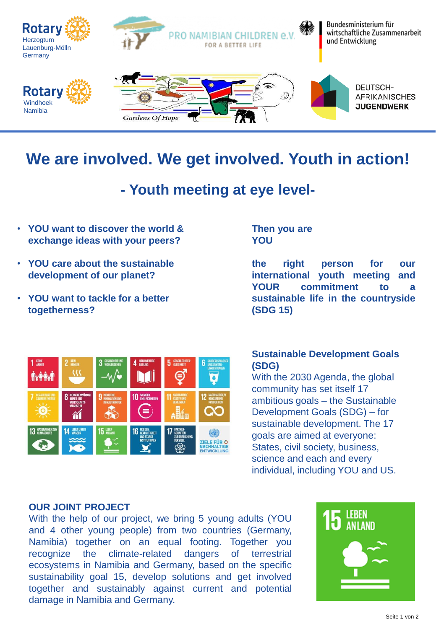

# **We are involved. We get involved. Youth in action!**

## **- Youth meeting at eye level-**

- **YOU want to discover the world & exchange ideas with your peers?**
- **YOU care about the sustainable development of our planet?**
- **YOU want to tackle for a better togetherness?**

#### **Then you are YOU**

**the right person for our international youth meeting and YOUR commitment to a sustainable life in the countryside (SDG 15)**



#### **Sustainable Development Goals (SDG)**

With the 2030 Agenda, the global community has set itself 17 ambitious goals – the Sustainable Development Goals (SDG) – for sustainable development. The 17 goals are aimed at everyone: States, civil society, business, science and each and every individual, including YOU and US.

#### **OUR JOINT PROJECT**

With the help of our project, we bring 5 young adults (YOU and 4 other young people) from two countries (Germany, Namibia) together on an equal footing. Together you recognize the climate-related dangers of terrestrial ecosystems in Namibia and Germany, based on the specific sustainability goal 15, develop solutions and get involved together and sustainably against current and potential damage in Namibia and Germany.